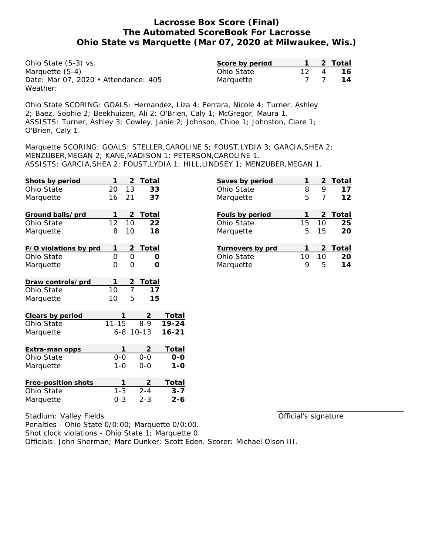| Ohio State (5-3) vs.                 | Score by period |    | 2 Total |
|--------------------------------------|-----------------|----|---------|
| Marquette (5-4)                      | Ohio State      | 12 | 16.     |
| Date: Mar 07, 2020 • Attendance: 405 | Marquette       |    | 14      |
| Weather:                             |                 |    |         |

Ohio State SCORING: GOALS: Hernandez, Liza 4; Ferrara, Nicole 4; Turner, Ashley 2; Baez, Sophie 2; Beekhuizen, Ali 2; O'Brien, Caly 1; McGregor, Maura 1. ASSISTS: Turner, Ashley 3; Cowley, Janie 2; Johnson, Chloe 1; Johnston, Clare 1; O'Brien, Caly 1.

Marquette SCORING: GOALS: STELLER,CAROLINE 5; FOUST,LYDIA 3; GARCIA,SHEA 2; MENZUBER,MEGAN 2; KANE,MADISON 1; PETERSON,CAROLINE 1. ASSISTS: GARCIA,SHEA 2; FOUST,LYDIA 1; HILL,LINDSEY 1; MENZUBER,MEGAN 1.

| Shots by period       | 1         | 2           | Total                     |           |
|-----------------------|-----------|-------------|---------------------------|-----------|
| Ohio State            | 20        | 13          | 33                        |           |
| Marquette             | 16        | 21          | 37                        |           |
| Ground balls/prd      | 1         | 2           | <b>Total</b>              |           |
| Ohio State            | 12        | 10          | 22                        |           |
| Marquette             | 8         | 10          | 18                        |           |
| F/O violations by prd | 1         | 2           | Total                     |           |
| Ohio State            | $\Omega$  | 0           | Ο                         |           |
| Marquette             | 0         | 0           | റ                         |           |
| Draw controls/prd     | 1         | $rac{2}{7}$ | $\frac{\text{Total}}{17}$ |           |
| Ohio State            | 10        |             |                           |           |
| Marquette             | 10        | 5           | 15                        |           |
| Clears by period      |           |             | 2                         | Total     |
| Ohio State            | $11 - 15$ |             | $8 - 9$                   | $19 - 24$ |
| Marquette             | 6-8       |             | $10 - 13$                 | $16 - 21$ |
| Extra-man opps        | 1         |             | <u>2</u>                  | Total     |
| Ohio State            | $0 - 0$   |             | $0 - 0$                   | 0-0       |
| Marquette             | $1 - 0$   |             | $0 - 0$                   | $1 - 0$   |
| Free-position shots   | 1         |             |                           | Total     |
| Ohio State            | $1 - 3$   |             | $2 - 4$                   | $3 - 7$   |
| Marquette             | $0 - 3$   |             | $2 - 3$                   | $2 - 6$   |

|    |    | 2 Total |
|----|----|---------|
| 8  | 9  | 17      |
| 5  | 7  | 12      |
|    |    | 2 Total |
| 15 |    | 25      |
| 5  | 15 | 20      |
|    |    | 2 Total |
| 10 | 10 | 20      |
| g  | 5  | 14      |
|    |    | 10      |

Official's signature

Stadium: Valley Fields Penalties - Ohio State 0/0:00; Marquette 0/0:00. Shot clock violations - Ohio State 1; Marquette 0. Officials: John Sherman; Marc Dunker; Scott Eden. Scorer: Michael Olson III.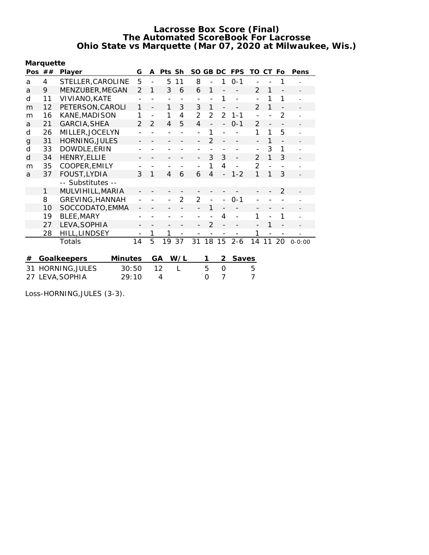|                          | Marquette |                        |                |                |      |                |                |                          |                          |                |                |                |                          |            |
|--------------------------|-----------|------------------------|----------------|----------------|------|----------------|----------------|--------------------------|--------------------------|----------------|----------------|----------------|--------------------------|------------|
| Pos                      | ##        | Player                 | G              | A              | Pts. | Sh             | SO GB DC       |                          |                          | <b>FPS</b>     | TO             | <b>CT</b>      | Fo                       | Pens       |
| a                        | 4         | STELLER, CAROLINE      | 5              | $\overline{a}$ | 5    | 11             | 8              | $\overline{a}$           | 1                        | $O - 1$        |                |                | 1                        |            |
| a                        | 9         | MENZUBER, MEGAN        | $\overline{2}$ | 1              | 3    | 6              | 6              | 1                        |                          |                | $\mathcal{P}$  | 1              |                          |            |
| d                        | 11        | VIVIANO, KATE          |                |                |      |                |                |                          | 1                        |                |                | 1              | 1                        |            |
| m                        | 12        | PETERSON, CAROLI       | 1              | $\overline{a}$ | 1    | 3              | 3              | $\mathbf{1}$             |                          |                | $\overline{2}$ | 1              |                          |            |
| m                        | 16        | KANE, MADISON          | 1              | $\overline{a}$ | 1    | 4              | $\overline{2}$ | $\overline{2}$           | 2                        | $1 - 1$        |                |                | 2                        |            |
| a                        | 21        | GARCIA, SHEA           | $\mathcal{P}$  | $\overline{2}$ | 4    | 5              | $\overline{4}$ |                          |                          | $0 - 1$        | 2              | $\overline{a}$ |                          |            |
| d                        | 26        | MILLER, JOCELYN        |                |                |      |                |                | 1                        |                          |                | 1              | 1              | 5                        |            |
| $\mathbf g$              | 31        | <b>HORNING, JULES</b>  |                |                |      |                |                | $\mathfrak{D}$           |                          |                |                | 1              |                          |            |
| d                        | 33        | DOWDLE, ERIN           |                |                |      |                |                |                          |                          |                |                | 3              | 1                        |            |
| d                        | 34        | <b>HENRY, ELLIE</b>    |                |                |      |                |                | 3                        | 3                        | $\overline{a}$ | $\mathcal{P}$  | 1              | 3                        |            |
| m                        | 35        | COOPER, EMILY          |                |                |      |                | $\overline{a}$ | 1                        | 4                        | $\overline{a}$ | $\mathcal{P}$  | $\overline{a}$ |                          |            |
| a                        | 37        | FOUST, LYDIA           | 3              | 1              | 4    | 6              | 6              | $\overline{\mathcal{A}}$ |                          | $1 - 2$        | 1              | 1              | 3                        |            |
|                          |           | -- Substitutes --      |                |                |      |                |                |                          |                          |                |                |                |                          |            |
|                          | 1         | MULVIHILL, MARIA       |                |                |      |                |                |                          |                          |                |                |                | $\mathfrak{D}$           |            |
|                          | 8         | GREVING, HANNAH        |                |                |      | $\overline{2}$ | $\overline{2}$ | $\overline{a}$           |                          | $0 - 1$        |                |                |                          |            |
|                          | 10        | SOCCODATO, EMMA        |                |                |      |                |                | 1                        | $\overline{\phantom{0}}$ |                |                |                | $\overline{\phantom{a}}$ |            |
|                          | 19        | BLEE, MARY             |                |                |      |                |                |                          | 4                        |                |                |                | 1                        |            |
|                          | 27        | LEVA, SOPHIA           |                |                |      |                |                | $\overline{2}$           |                          |                |                | 1              |                          |            |
|                          | 28        | HILL, LINDSEY          |                | 1              | 1    |                |                |                          |                          |                | 1              |                |                          |            |
|                          |           | Totals                 | 14             | 5              | 19   | 37             | 31             | 18                       | 15                       | $2 - 6$        | 14             | 11             | 20                       | $0 - 0:00$ |
|                          |           |                        |                |                |      |                |                |                          |                          |                |                |                |                          |            |
| #                        |           | Goalkeepers<br>Minutes |                |                | GА   | W/L            |                | 1                        | 2                        | <b>Saves</b>   |                |                |                          |            |
| 31                       |           | <b>HORNING, JULES</b>  | 30:50          |                | 12   | $\mathbf{L}$   |                | 5                        | $\Omega$                 |                | 5              |                |                          |            |
| 27 LEVA, SOPHIA<br>29:10 |           |                        |                |                | 4    |                |                | $\Omega$                 | $\overline{7}$           |                | $\overline{7}$ |                |                          |            |

Loss-HORNING,JULES (3-3).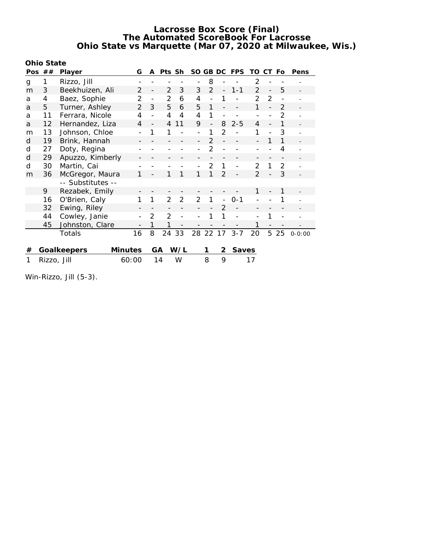| Ohio State |  |  |
|------------|--|--|
|            |  |  |

|   | Pos $##$    | Player                        | G             | A              | Pts Sh         |                | SO GB DC |               |                | <b>FPS</b> | TO CT Fo       |          |                | Pens       |
|---|-------------|-------------------------------|---------------|----------------|----------------|----------------|----------|---------------|----------------|------------|----------------|----------|----------------|------------|
| g | 1           | Rizzo, Jill                   |               |                |                |                |          | 8             |                |            | 2              |          |                |            |
| m | 3           | Beekhuizen, Ali               | 2             |                | 2              | 3              | 3        | 2             | $\sim$         | $1 - 1$    | 2              | $\equiv$ | 5              |            |
| a | 4           | Baez, Sophie                  | 2             |                | 2              | 6              | 4        |               |                |            | 2              | 2        |                |            |
| a | 5           | Turner, Ashley                | $\mathcal{P}$ | 3              | 5              | 6              | 5        | 1             |                |            | 1              |          | 2              |            |
| a | 11          | Ferrara, Nicole               | 4             |                | 4              | $\overline{4}$ | 4        | 1             |                |            |                |          | $\mathfrak{D}$ |            |
| a | 12          | Hernandez, Liza               | 4             |                | $\overline{4}$ | 11             | 9        |               | 8              | $2 - 5$    | 4              |          | 1              |            |
| m | 13          | Johnson, Chloe                |               | 1              | 1              |                |          |               | $\overline{2}$ |            | 1              |          | 3              |            |
| d | 19          | Brink, Hannah                 |               |                |                |                |          | 2             |                |            |                |          |                |            |
| d | 27          | Doty, Regina                  |               |                |                |                |          | 2             |                |            |                |          | 4              |            |
| d | 29          | Apuzzo, Kimberly              |               |                |                |                |          |               |                |            |                |          |                |            |
| d | 30          | Martin, Cai                   |               |                |                |                |          | $\mathcal{P}$ | 1              |            | $\mathcal{P}$  | 1        | 2              |            |
| m | 36          | McGregor, Maura               |               |                |                | 1              | 1        |               | $\overline{2}$ |            | $\mathfrak{D}$ |          | 3              |            |
|   |             | -- Substitutes --             |               |                |                |                |          |               |                |            |                |          |                |            |
|   | 9           | Rezabek, Emily                |               |                |                |                |          |               |                |            | 1              |          |                |            |
|   | 16          | O'Brien, Caly                 |               | 1              | 2              | $\overline{2}$ | 2        |               |                | $0 - 1$    |                |          |                |            |
|   | 32          | Ewing, Riley                  |               |                |                |                |          |               | 2              |            |                |          |                |            |
|   | 44          | Cowley, Janie                 |               | $\overline{2}$ | $\overline{2}$ |                |          |               |                |            |                |          |                |            |
|   | 45          | Johnston, Clare               |               | 1              | 1              |                |          |               |                |            | 1              |          |                |            |
|   |             | Totals                        | 16            | 8              | 24             | 33             | 28 22 17 |               |                | $3 - 7$    | 20             | 5        | 25             | $0 - 0:00$ |
|   |             |                               |               |                |                |                |          |               |                |            |                |          |                |            |
| # |             | Goalkeepers<br><b>Minutes</b> |               |                | GA.            | W/L            |          | 1             | 2              | Saves      |                |          |                |            |
|   | Rizzo, Jill |                               | 60:00         |                | 14             | W              |          | 8             | 9              |            | 17             |          |                |            |

Win-Rizzo, Jill (5-3).